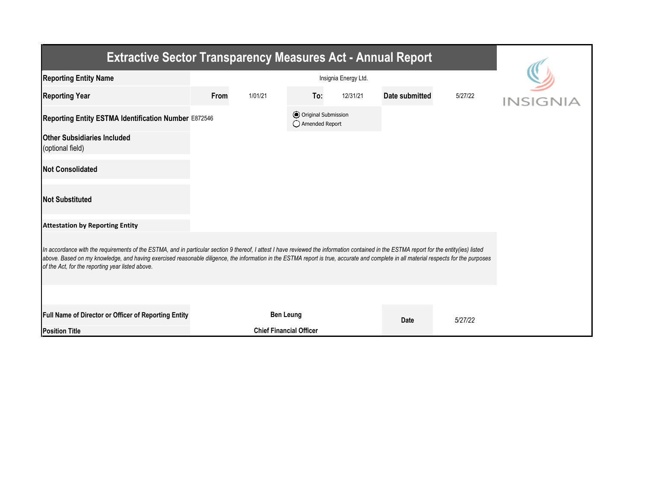| <b>Extractive Sector Transparency Measures Act - Annual Report</b>                                                                                                                                                                                                                                                                                                                                                                    |                                                      |                                |     |          |                |         |          |  |  |  |
|---------------------------------------------------------------------------------------------------------------------------------------------------------------------------------------------------------------------------------------------------------------------------------------------------------------------------------------------------------------------------------------------------------------------------------------|------------------------------------------------------|--------------------------------|-----|----------|----------------|---------|----------|--|--|--|
| <b>Reporting Entity Name</b>                                                                                                                                                                                                                                                                                                                                                                                                          |                                                      |                                |     |          |                |         |          |  |  |  |
| <b>Reporting Year</b>                                                                                                                                                                                                                                                                                                                                                                                                                 | From                                                 | 1/01/21                        | To: | 12/31/21 | Date submitted | 5/27/22 | INSIGNIA |  |  |  |
|                                                                                                                                                                                                                                                                                                                                                                                                                                       | Reporting Entity ESTMA Identification Number E872546 |                                |     |          |                |         |          |  |  |  |
| <b>Other Subsidiaries Included</b><br>(optional field)                                                                                                                                                                                                                                                                                                                                                                                |                                                      |                                |     |          |                |         |          |  |  |  |
| <b>Not Consolidated</b>                                                                                                                                                                                                                                                                                                                                                                                                               |                                                      |                                |     |          |                |         |          |  |  |  |
| <b>Not Substituted</b>                                                                                                                                                                                                                                                                                                                                                                                                                |                                                      |                                |     |          |                |         |          |  |  |  |
| <b>Attestation by Reporting Entity</b>                                                                                                                                                                                                                                                                                                                                                                                                |                                                      |                                |     |          |                |         |          |  |  |  |
| In accordance with the requirements of the ESTMA, and in particular section 9 thereof, I attest I have reviewed the information contained in the ESTMA report for the entity(ies) listed<br>above. Based on my knowledge, and having exercised reasonable diligence, the information in the ESTMA report is true, accurate and complete in all material respects for the purposes<br>of the Act, for the reporting year listed above. |                                                      |                                |     |          |                |         |          |  |  |  |
|                                                                                                                                                                                                                                                                                                                                                                                                                                       |                                                      |                                |     |          |                |         |          |  |  |  |
| <b>Full Name of Director or Officer of Reporting Entity</b>                                                                                                                                                                                                                                                                                                                                                                           |                                                      | <b>Ben Leung</b>               |     |          | <b>Date</b>    | 5/27/22 |          |  |  |  |
| <b>Position Title</b>                                                                                                                                                                                                                                                                                                                                                                                                                 |                                                      | <b>Chief Financial Officer</b> |     |          |                |         |          |  |  |  |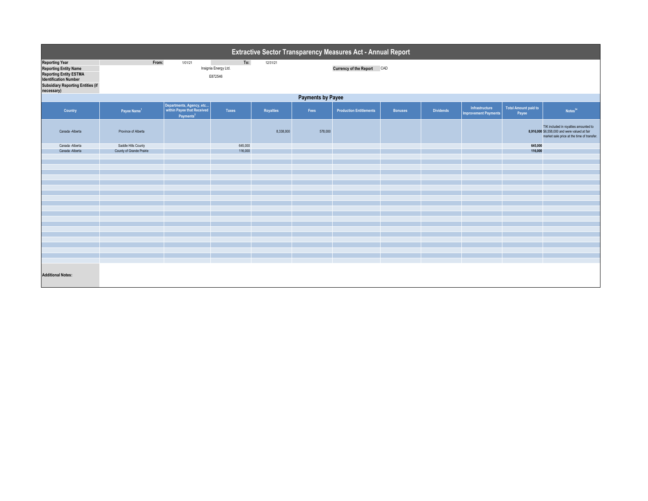|                                                                                                                                                                                  | Extractive Sector Transparency Measures Act - Annual Report |                                                                                 |                                        |                  |         |                                |                |                  |                                               |                               |                                                                                                                                      |  |
|----------------------------------------------------------------------------------------------------------------------------------------------------------------------------------|-------------------------------------------------------------|---------------------------------------------------------------------------------|----------------------------------------|------------------|---------|--------------------------------|----------------|------------------|-----------------------------------------------|-------------------------------|--------------------------------------------------------------------------------------------------------------------------------------|--|
| <b>Reporting Year</b><br><b>Reporting Entity Name</b><br><b>Reporting Entity ESTMA</b><br><b>Identification Number</b><br><b>Subsidiary Reporting Entities (if</b><br>necessary) | From:                                                       | 1/01/21                                                                         | To:<br>Insignia Energy Ltd.<br>E872546 | 12/31/21         |         | Currency of the Report CAD     |                |                  |                                               |                               |                                                                                                                                      |  |
|                                                                                                                                                                                  | <b>Payments by Payee</b>                                    |                                                                                 |                                        |                  |         |                                |                |                  |                                               |                               |                                                                                                                                      |  |
| Country                                                                                                                                                                          | Payee Name <sup>1</sup>                                     | Departments, Agency, etc<br>within Payee that Received<br>Payments <sup>2</sup> | Taxes                                  | <b>Royalties</b> | Fees    | <b>Production Entitlements</b> | <b>Bonuses</b> | <b>Dividends</b> | Infrastructure<br><b>Improvement Payments</b> | Total Amount paid to<br>Payee | Notes <sup>34</sup>                                                                                                                  |  |
| Canada -Alberta                                                                                                                                                                  | Province of Alberta                                         |                                                                                 |                                        | 8,338,000        | 578,000 |                                |                |                  |                                               |                               | TIK included in royalties amounted to<br>8,916,000 \$6,558,000 and were valued at fair<br>market sale price at the time of transfer. |  |
| Canada -Alberta                                                                                                                                                                  | Saddle Hills County                                         |                                                                                 | 645,000                                |                  |         |                                |                |                  |                                               | 645,000                       |                                                                                                                                      |  |
| Canada -Alberta                                                                                                                                                                  | County of Grande Prairie                                    |                                                                                 | 116,000                                |                  |         |                                |                |                  |                                               | 116,000                       |                                                                                                                                      |  |
|                                                                                                                                                                                  |                                                             |                                                                                 |                                        |                  |         |                                |                |                  |                                               |                               |                                                                                                                                      |  |
|                                                                                                                                                                                  |                                                             |                                                                                 |                                        |                  |         |                                |                |                  |                                               |                               |                                                                                                                                      |  |
|                                                                                                                                                                                  |                                                             |                                                                                 |                                        |                  |         |                                |                |                  |                                               |                               |                                                                                                                                      |  |
|                                                                                                                                                                                  |                                                             |                                                                                 |                                        |                  |         |                                |                |                  |                                               |                               |                                                                                                                                      |  |
|                                                                                                                                                                                  |                                                             |                                                                                 |                                        |                  |         |                                |                |                  |                                               |                               |                                                                                                                                      |  |
|                                                                                                                                                                                  |                                                             |                                                                                 |                                        |                  |         |                                |                |                  |                                               |                               |                                                                                                                                      |  |
|                                                                                                                                                                                  |                                                             |                                                                                 |                                        |                  |         |                                |                |                  |                                               |                               |                                                                                                                                      |  |
|                                                                                                                                                                                  |                                                             |                                                                                 |                                        |                  |         |                                |                |                  |                                               |                               |                                                                                                                                      |  |
|                                                                                                                                                                                  |                                                             |                                                                                 |                                        |                  |         |                                |                |                  |                                               |                               |                                                                                                                                      |  |
|                                                                                                                                                                                  |                                                             |                                                                                 |                                        |                  |         |                                |                |                  |                                               |                               |                                                                                                                                      |  |
|                                                                                                                                                                                  |                                                             |                                                                                 |                                        |                  |         |                                |                |                  |                                               |                               |                                                                                                                                      |  |
|                                                                                                                                                                                  |                                                             |                                                                                 |                                        |                  |         |                                |                |                  |                                               |                               |                                                                                                                                      |  |
|                                                                                                                                                                                  |                                                             |                                                                                 |                                        |                  |         |                                |                |                  |                                               |                               |                                                                                                                                      |  |
|                                                                                                                                                                                  |                                                             |                                                                                 |                                        |                  |         |                                |                |                  |                                               |                               |                                                                                                                                      |  |
|                                                                                                                                                                                  |                                                             |                                                                                 |                                        |                  |         |                                |                |                  |                                               |                               |                                                                                                                                      |  |
|                                                                                                                                                                                  |                                                             |                                                                                 |                                        |                  |         |                                |                |                  |                                               |                               |                                                                                                                                      |  |
|                                                                                                                                                                                  |                                                             |                                                                                 |                                        |                  |         |                                |                |                  |                                               |                               |                                                                                                                                      |  |
| <b>Additional Notes:</b>                                                                                                                                                         |                                                             |                                                                                 |                                        |                  |         |                                |                |                  |                                               |                               |                                                                                                                                      |  |